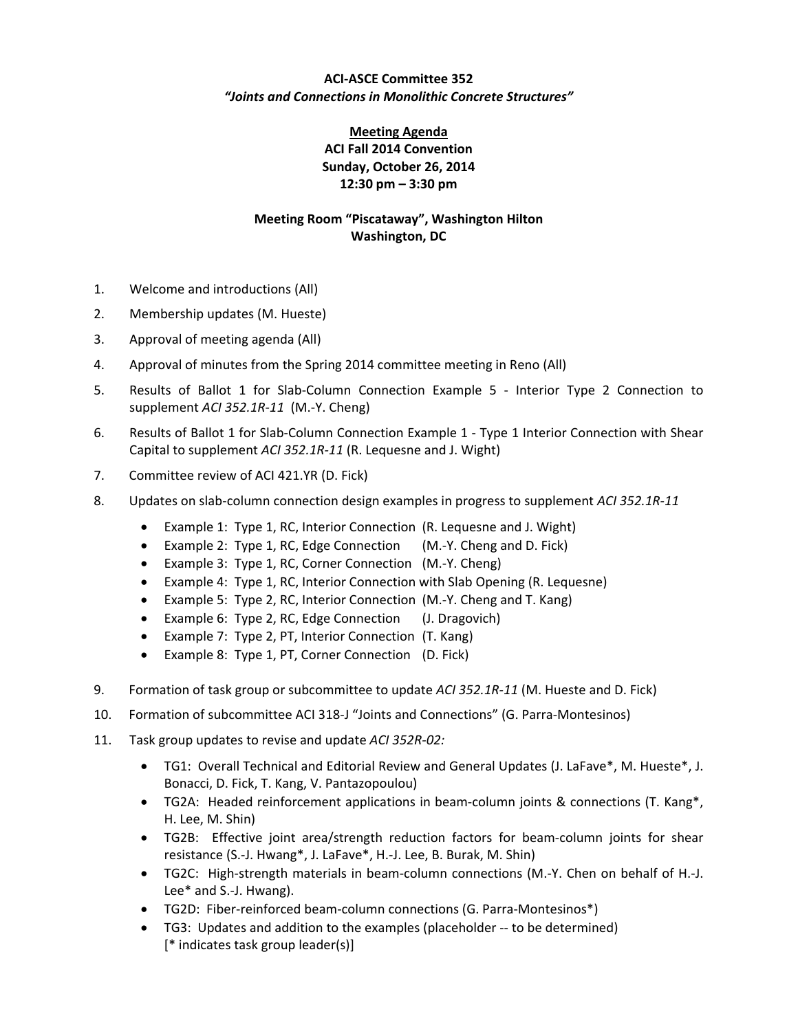## **ACI‐ASCE Committee 352** *"Joints and Connections in Monolithic Concrete Structures"*

## **Meeting Agenda ACI Fall 2014 Convention Sunday, October 26, 2014 12:30 pm – 3:30 pm**

## **Meeting Room "Piscataway", Washington Hilton Washington, DC**

- 1. Welcome and introductions (All)
- 2. Membership updates (M. Hueste)
- 3. Approval of meeting agenda (All)
- 4. Approval of minutes from the Spring 2014 committee meeting in Reno (All)
- 5. Results of Ballot 1 for Slab-Column Connection Example 5 Interior Type 2 Connection to supplement *ACI 352.1R‐11* (M.‐Y. Cheng)
- 6. Results of Ballot 1 for Slab‐Column Connection Example 1 ‐ Type 1 Interior Connection with Shear Capital to supplement *ACI 352.1R‐11* (R. Lequesne and J. Wight)
- 7. Committee review of ACI 421.YR (D. Fick)
- 8. Updates on slab‐column connection design examples in progress to supplement *ACI 352.1R‐11*
	- Example 1: Type 1, RC, Interior Connection (R. Lequesne and J. Wight)
	- Example 2: Type 1, RC, Edge Connection (M.-Y. Cheng and D. Fick)
	- Example 3: Type 1, RC, Corner Connection (M.-Y. Cheng)
	- Example 4: Type 1, RC, Interior Connection with Slab Opening (R. Lequesne)
	- Example 5: Type 2, RC, Interior Connection (M.-Y. Cheng and T. Kang)
	- Example 6: Type 2, RC, Edge Connection (J. Dragovich)
	- Example 7: Type 2, PT, Interior Connection (T. Kang)
	- Example 8: Type 1, PT, Corner Connection (D. Fick)
- 9. Formation of task group or subcommittee to update *ACI 352.1R‐11* (M. Hueste and D. Fick)
- 10. Formation of subcommittee ACI 318‐J "Joints and Connections" (G. Parra‐Montesinos)
- 11. Task group updates to revise and update *ACI 352R‐02:*
	- TG1: Overall Technical and Editorial Review and General Updates (J. LaFave\*, M. Hueste\*, J. Bonacci, D. Fick, T. Kang, V. Pantazopoulou)
	- TG2A: Headed reinforcement applications in beam-column joints & connections (T. Kang\*, H. Lee, M. Shin)
	- TG2B: Effective joint area/strength reduction factors for beam‐column joints for shear resistance (S.‐J. Hwang\*, J. LaFave\*, H.‐J. Lee, B. Burak, M. Shin)
	- TG2C: High‐strength materials in beam‐column connections (M.‐Y. Chen on behalf of H.‐J. Lee\* and S.‐J. Hwang).
	- TG2D: Fiber‐reinforced beam‐column connections (G. Parra‐Montesinos\*)
	- TG3: Updates and addition to the examples (placeholder ‐‐ to be determined) [\* indicates task group leader(s)]